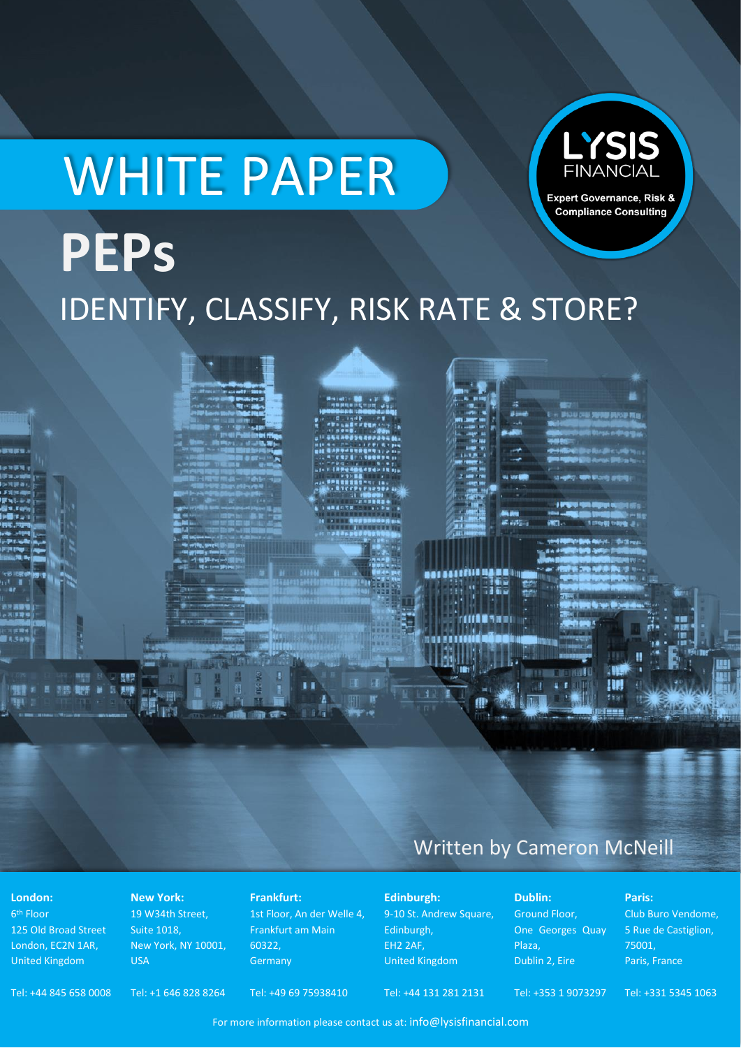# LYSIS WHITE PAPER Expert Governance, Risk & **Compliance Consulting PEPs** IDENTIFY, CLASSIFY, RISK RATE & STORE?

## Written by Cameron McNeill

z zac

AAAAFILIS ISAARAHIN

**MARTALL** 

**London:**

6<sup>th</sup> Floor 125 Old Broad Street London, EC2N 1AR, United Kingdom

明智 B 见 图明

#### **New York:**

19 W34th Street, Suite 1018, New York, NY 10001, USA

#### **Frankfurt:**

1st Floor, An der Welle 4, Frankfurt am Main 60322, Germany

9-10 St. Andrew Square, Edinburgh, EH2 2AF, United Kingdom

**Edinburgh:**

**Dublin:**

Ground Floor, One Georges Quay Plaza, Dublin 2, Eire

!!!

Tel: +353 1 9073297

**Paris:** Club Buro Vendome, 5 Rue de Castiglion, 75001, Paris, France

Tel: +331 5345 1063

Tel: +44 845 658 0008

Tel: +1 646 828 8264 Tel: +49 69 75938410 Tel: +44 131 281 2131

For more information please contact us at: info@lysisfinancial.com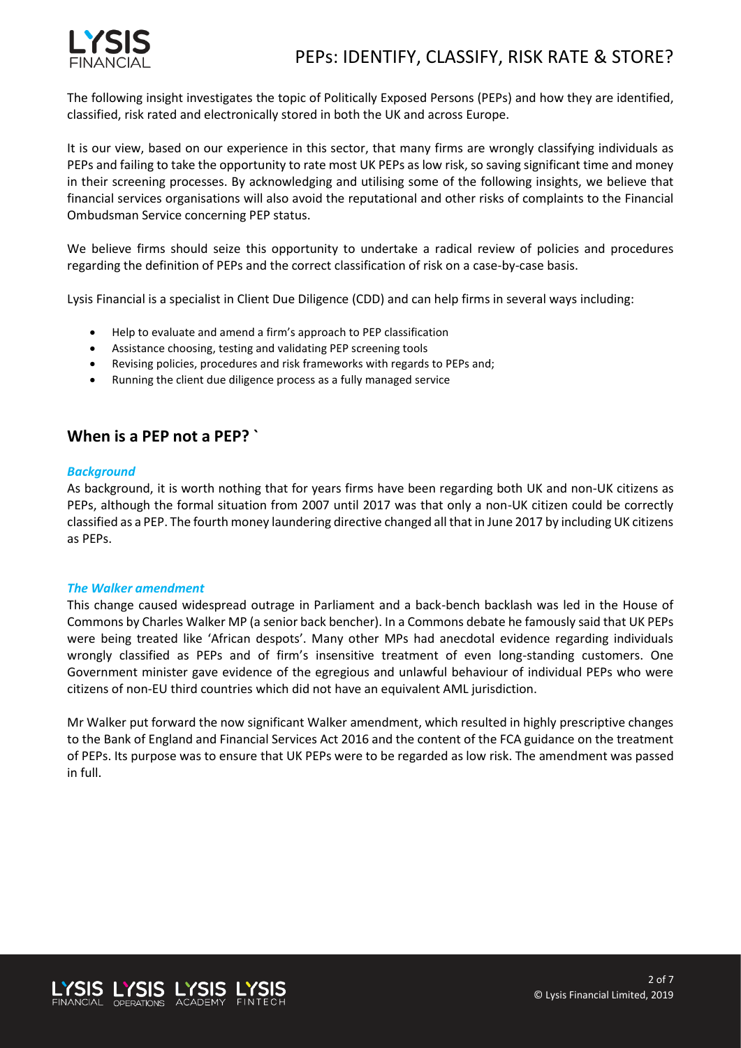

The following insight investigates the topic of Politically Exposed Persons (PEPs) and how they are identified, classified, risk rated and electronically stored in both the UK and across Europe.

It is our view, based on our experience in this sector, that many firms are wrongly classifying individuals as PEPs and failing to take the opportunity to rate most UK PEPs as low risk, so saving significant time and money in their screening processes. By acknowledging and utilising some of the following insights, we believe that financial services organisations will also avoid the reputational and other risks of complaints to the Financial Ombudsman Service concerning PEP status.

We believe firms should seize this opportunity to undertake a radical review of policies and procedures regarding the definition of PEPs and the correct classification of risk on a case-by-case basis.

Lysis Financial is a specialist in Client Due Diligence (CDD) and can help firms in several ways including:

- Help to evaluate and amend a firm's approach to PEP classification
- Assistance choosing, testing and validating PEP screening tools
- Revising policies, procedures and risk frameworks with regards to PEPs and;
- Running the client due diligence process as a fully managed service

### **When is a PEP not a PEP? `**

#### *Background*

As background, it is worth nothing that for years firms have been regarding both UK and non-UK citizens as PEPs, although the formal situation from 2007 until 2017 was that only a non-UK citizen could be correctly classified as a PEP. The fourth money laundering directive changed all that in June 2017 by including UK citizens as PEPs.

#### *The Walker amendment*

This change caused widespread outrage in Parliament and a back-bench backlash was led in the House of Commons by Charles Walker MP (a senior back bencher). In a Commons debate he famously said that UK PEPs were being treated like 'African despots'. Many other MPs had anecdotal evidence regarding individuals wrongly classified as PEPs and of firm's insensitive treatment of even long-standing customers. One Government minister gave evidence of the egregious and unlawful behaviour of individual PEPs who were citizens of non-EU third countries which did not have an equivalent AML jurisdiction.

Mr Walker put forward the now significant Walker amendment, which resulted in highly prescriptive changes to the Bank of England and Financial Services Act 2016 and the content of the FCA guidance on the treatment of PEPs. Its purpose was to ensure that UK PEPs were to be regarded as low risk. The amendment was passed in full.

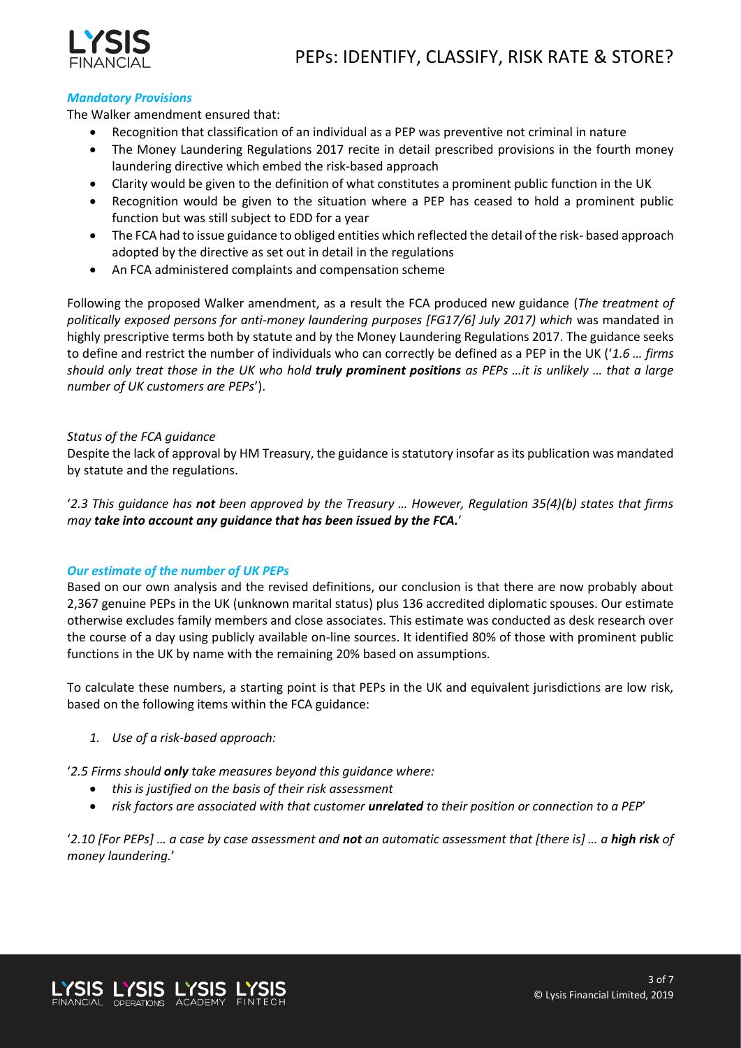

#### *Mandatory Provisions*

The Walker amendment ensured that:

- Recognition that classification of an individual as a PEP was preventive not criminal in nature
- The Money Laundering Regulations 2017 recite in detail prescribed provisions in the fourth money laundering directive which embed the risk-based approach
- Clarity would be given to the definition of what constitutes a prominent public function in the UK
- Recognition would be given to the situation where a PEP has ceased to hold a prominent public function but was still subject to EDD for a year
- The FCA had to issue guidance to obliged entities which reflected the detail of the risk- based approach adopted by the directive as set out in detail in the regulations
- An FCA administered complaints and compensation scheme

Following the proposed Walker amendment, as a result the FCA produced new guidance (*The treatment of politically exposed persons for anti-money laundering purposes [FG17/6] July 2017) which* was mandated in highly prescriptive terms both by statute and by the Money Laundering Regulations 2017. The guidance seeks to define and restrict the number of individuals who can correctly be defined as a PEP in the UK ('*1.6 … firms should only treat those in the UK who hold truly prominent positions as PEPs …it is unlikely … that a large number of UK customers are PEPs*').

#### *Status of the FCA guidance*

Despite the lack of approval by HM Treasury, the guidance is statutory insofar as its publication was mandated by statute and the regulations.

'*2.3 This guidance has not been approved by the Treasury … However, Regulation 35(4)(b) states that firms may take into account any guidance that has been issued by the FCA.*'

#### *Our estimate of the number of UK PEPs*

Based on our own analysis and the revised definitions, our conclusion is that there are now probably about 2,367 genuine PEPs in the UK (unknown marital status) plus 136 accredited diplomatic spouses. Our estimate otherwise excludes family members and close associates. This estimate was conducted as desk research over the course of a day using publicly available on-line sources. It identified 80% of those with prominent public functions in the UK by name with the remaining 20% based on assumptions.

To calculate these numbers, a starting point is that PEPs in the UK and equivalent jurisdictions are low risk, based on the following items within the FCA guidance:

*1. Use of a risk-based approach:*

'*2.5 Firms should only take measures beyond this guidance where:*

- *this is justified on the basis of their risk assessment*
- *risk factors are associated with that customer unrelated to their position or connection to a PEP*'

'2.10 [For PEPs] ... a case by case assessment and **not** an automatic assessment that [there is] ... a **high risk** of *money laundering.*'

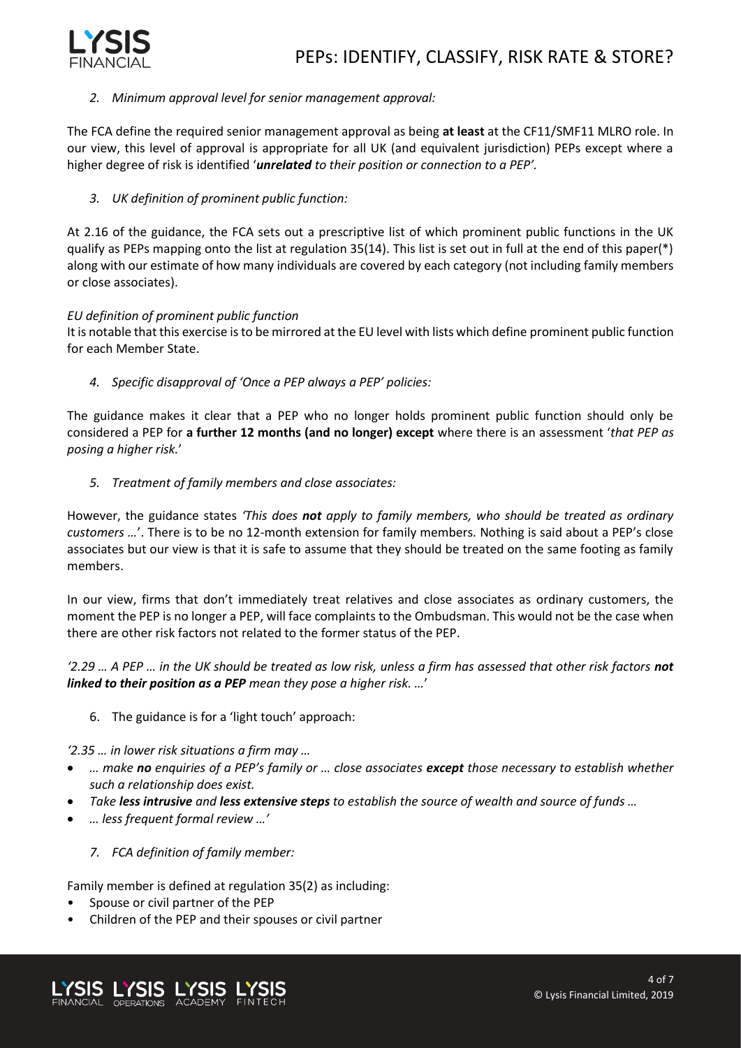

#### *2. Minimum approval level for senior management approval:*

The FCA define the required senior management approval as being **at least** at the CF11/SMF11 MLRO role. In our view, this level of approval is appropriate for all UK (and equivalent jurisdiction) PEPs except where a higher degree of risk is identified '*unrelated to their position or connection to a PEP'.*

#### *3. UK definition of prominent public function:*

At 2.16 of the guidance, the FCA sets out a prescriptive list of which prominent public functions in the UK qualify as PEPs mapping onto the list at regulation 35(14). This list is set out in full at the end of this paper(\*) along with our estimate of how many individuals are covered by each category (not including family members or close associates).

#### *EU definition of prominent public function*

It is notable that this exercise is to be mirrored at the EU level with lists which define prominent public function for each Member State.

*4. Specific disapproval of 'Once a PEP always a PEP' policies:*

The guidance makes it clear that a PEP who no longer holds prominent public function should only be considered a PEP for **a further 12 months (and no longer) except** where there is an assessment '*that PEP as posing a higher risk.*'

*5. Treatment of family members and close associates:*

However, the guidance states *'This does not apply to family members, who should be treated as ordinary customers …*'. There is to be no 12-month extension for family members. Nothing is said about a PEP's close associates but our view is that it is safe to assume that they should be treated on the same footing as family members.

In our view, firms that don't immediately treat relatives and close associates as ordinary customers, the moment the PEP is no longer a PEP, will face complaints to the Ombudsman. This would not be the case when there are other risk factors not related to the former status of the PEP.

*'2.29 … A PEP … in the UK should be treated as low risk, unless a firm has assessed that other risk factors not linked to their position as a PEP mean they pose a higher risk. …*'

6. The guidance is for a 'light touch' approach:

*'2.35 … in lower risk situations a firm may …*

- *… make no enquiries of a PEP's family or … close associates except those necessary to establish whether such a relationship does exist.*
- *Take less intrusive and less extensive steps to establish the source of wealth and source of funds …*
- *… less frequent formal review …'*
	- *7. FCA definition of family member:*

Family member is defined at regulation 35(2) as including:

- Spouse or civil partner of the PEP
- Children of the PEP and their spouses or civil partner

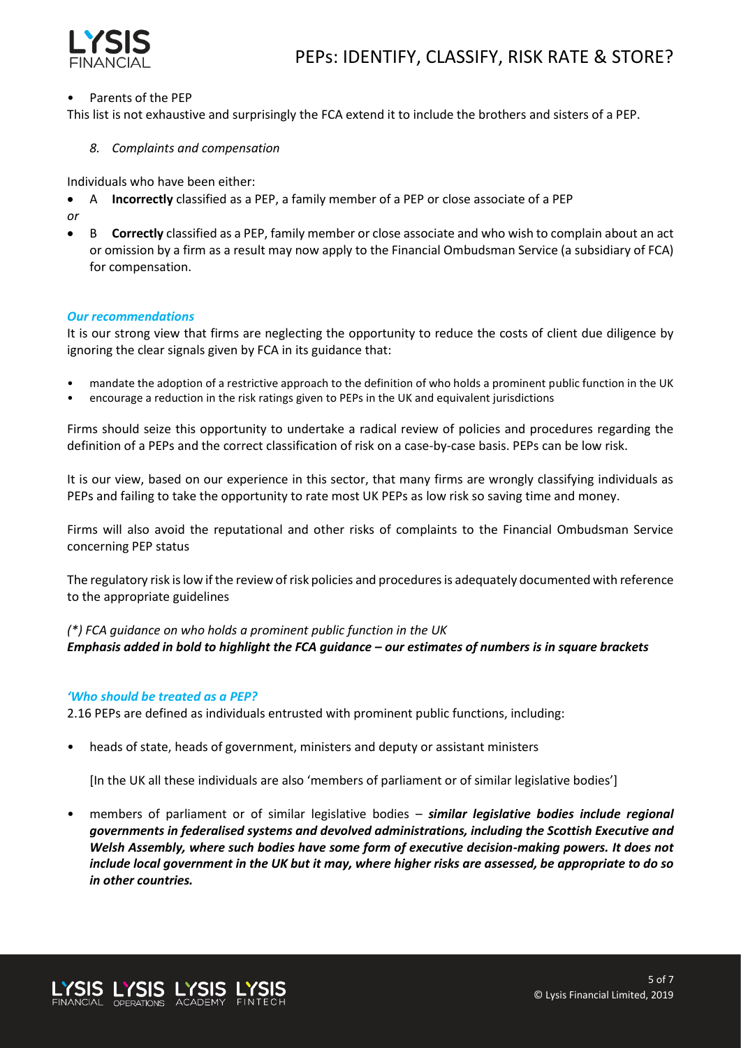

#### • Parents of the PEP

This list is not exhaustive and surprisingly the FCA extend it to include the brothers and sisters of a PEP.

*8. Complaints and compensation*

Individuals who have been either:

- A **Incorrectly** classified as a PEP, a family member of a PEP or close associate of a PEP
- *or*
- B **Correctly** classified as a PEP, family member or close associate and who wish to complain about an act or omission by a firm as a result may now apply to the Financial Ombudsman Service (a subsidiary of FCA) for compensation.

#### *Our recommendations*

It is our strong view that firms are neglecting the opportunity to reduce the costs of client due diligence by ignoring the clear signals given by FCA in its guidance that:

- mandate the adoption of a restrictive approach to the definition of who holds a prominent public function in the UK
- encourage a reduction in the risk ratings given to PEPs in the UK and equivalent jurisdictions

Firms should seize this opportunity to undertake a radical review of policies and procedures regarding the definition of a PEPs and the correct classification of risk on a case-by-case basis. PEPs can be low risk.

It is our view, based on our experience in this sector, that many firms are wrongly classifying individuals as PEPs and failing to take the opportunity to rate most UK PEPs as low risk so saving time and money.

Firms will also avoid the reputational and other risks of complaints to the Financial Ombudsman Service concerning PEP status

The regulatory risk is low if the review of risk policies and procedures is adequately documented with reference to the appropriate guidelines

#### *(\*) FCA guidance on who holds a prominent public function in the UK Emphasis added in bold to highlight the FCA guidance – our estimates of numbers is in square brackets*

#### *'Who should be treated as a PEP?*

2.16 PEPs are defined as individuals entrusted with prominent public functions, including:

• heads of state, heads of government, ministers and deputy or assistant ministers

[In the UK all these individuals are also 'members of parliament or of similar legislative bodies']

• members of parliament or of similar legislative bodies – *similar legislative bodies include regional governments in federalised systems and devolved administrations, including the Scottish Executive and Welsh Assembly, where such bodies have some form of executive decision-making powers. It does not include local government in the UK but it may, where higher risks are assessed, be appropriate to do so in other countries.*

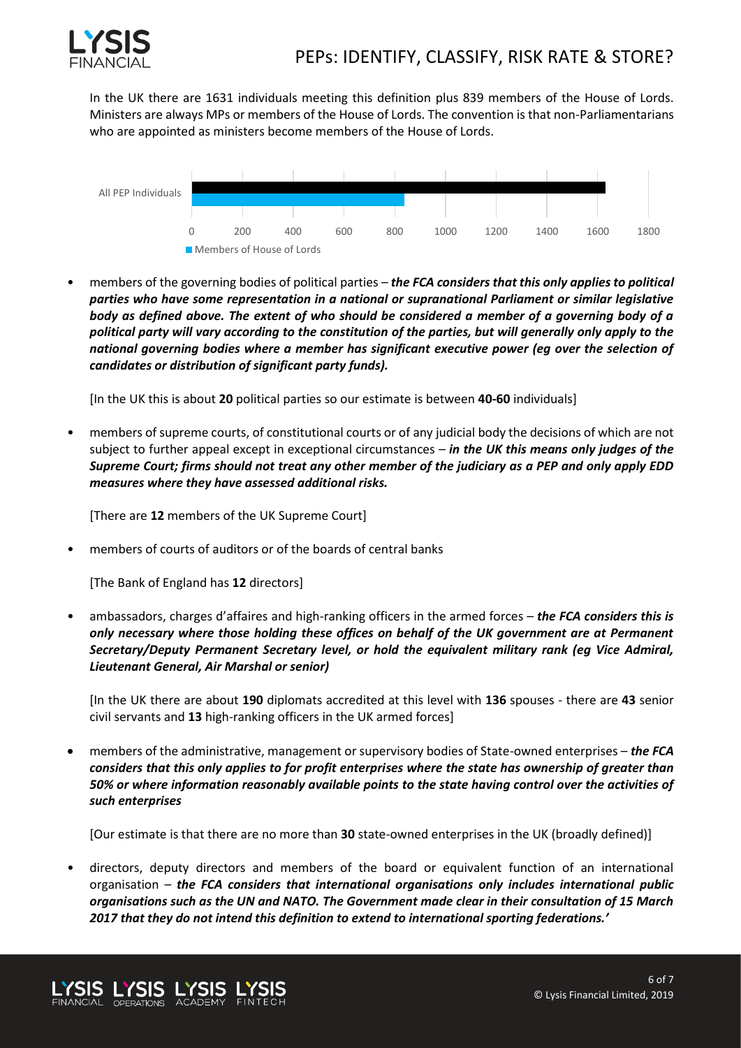

In the UK there are 1631 individuals meeting this definition plus 839 members of the House of Lords. Ministers are always MPs or members of the House of Lords. The convention is that non-Parliamentarians who are appointed as ministers become members of the House of Lords.



• members of the governing bodies of political parties – *the FCA considers that this only applies to political parties who have some representation in a national or supranational Parliament or similar legislative body as defined above. The extent of who should be considered a member of a governing body of a political party will vary according to the constitution of the parties, but will generally only apply to the national governing bodies where a member has significant executive power (eg over the selection of candidates or distribution of significant party funds).*

[In the UK this is about **20** political parties so our estimate is between **40-60** individuals]

• members of supreme courts, of constitutional courts or of any judicial body the decisions of which are not subject to further appeal except in exceptional circumstances – *in the UK this means only judges of the Supreme Court; firms should not treat any other member of the judiciary as a PEP and only apply EDD measures where they have assessed additional risks.*

[There are **12** members of the UK Supreme Court]

members of courts of auditors or of the boards of central banks

[The Bank of England has **12** directors]

• ambassadors, charges d'affaires and high-ranking officers in the armed forces – *the FCA considers this is only necessary where those holding these offices on behalf of the UK government are at Permanent Secretary/Deputy Permanent Secretary level, or hold the equivalent military rank (eg Vice Admiral, Lieutenant General, Air Marshal or senior)*

[In the UK there are about **190** diplomats accredited at this level with **136** spouses - there are **43** senior civil servants and **13** high-ranking officers in the UK armed forces]

• members of the administrative, management or supervisory bodies of State-owned enterprises – *the FCA considers that this only applies to for profit enterprises where the state has ownership of greater than 50% or where information reasonably available points to the state having control over the activities of such enterprises*

[Our estimate is that there are no more than **30** state-owned enterprises in the UK (broadly defined)]

• directors, deputy directors and members of the board or equivalent function of an international organisation – *the FCA considers that international organisations only includes international public organisations such as the UN and NATO. The Government made clear in their consultation of 15 March 2017 that they do not intend this definition to extend to international sporting federations.'*